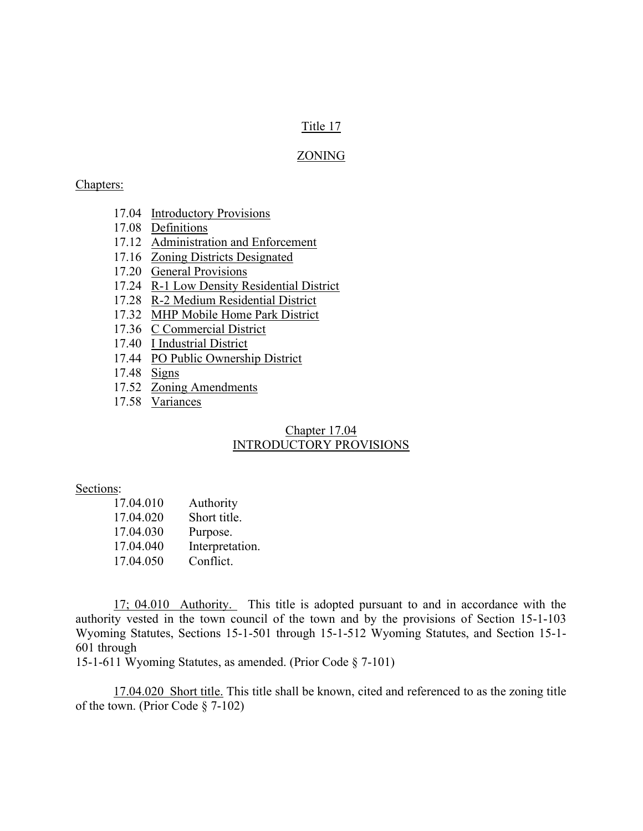## Title 17

## ZONING

#### Chapters:

- 17.04 Introductory Provisions
- 17.08 Definitions
- 17.12 Administration and Enforcement
- 17.16 Zoning Districts Designated
- 17.20 General Provisions
- 17.24 R-1 Low Density Residential District
- 17.28 R-2 Medium Residential District
- 17.32 MHP Mobile Home Park District
- 17.36 C Commercial District
- 17.40 I Industrial District
- 17.44 PO Public Ownership District
- 17.48 Signs
- 17.52 Zoning Amendments
- 17.58 Variances

## Chapter 17.04 INTRODUCTORY PROVISIONS

#### Sections:

| 17.04.010 | Authority       |
|-----------|-----------------|
| 17.04.020 | Short title.    |
| 17.04.030 | Purpose.        |
| 17.04.040 | Interpretation. |
| 17.04.050 | Conflict.       |

 17; 04.010 Authority. This title is adopted pursuant to and in accordance with the authority vested in the town council of the town and by the provisions of Section 15-1-103 Wyoming Statutes, Sections 15-1-501 through 15-1-512 Wyoming Statutes, and Section 15-1- 601 through

15-1-611 Wyoming Statutes, as amended. (Prior Code § 7-101)

 17.04.020 Short title. This title shall be known, cited and referenced to as the zoning title of the town. (Prior Code § 7-102)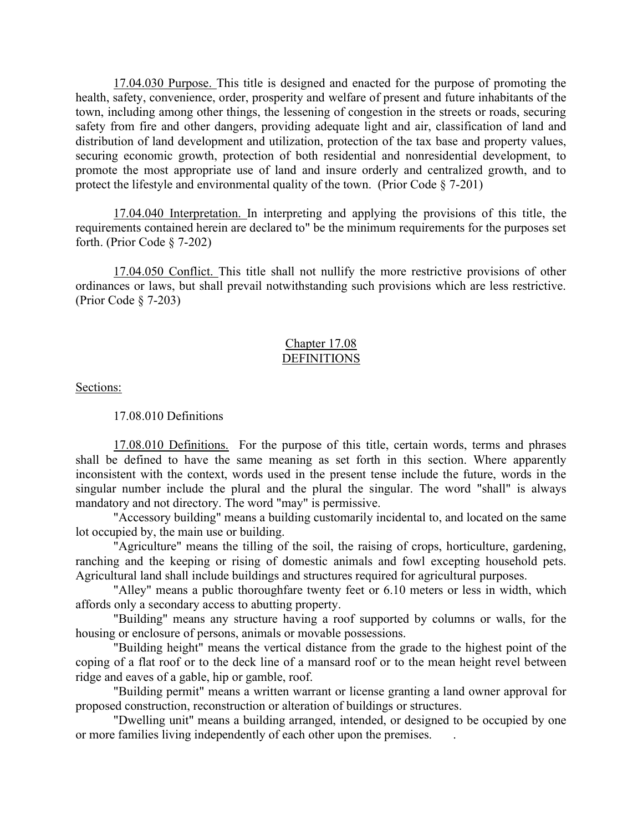17.04.030 Purpose. This title is designed and enacted for the purpose of promoting the health, safety, convenience, order, prosperity and welfare of present and future inhabitants of the town, including among other things, the lessening of congestion in the streets or roads, securing safety from fire and other dangers, providing adequate light and air, classification of land and distribution of land development and utilization, protection of the tax base and property values, securing economic growth, protection of both residential and nonresidential development, to promote the most appropriate use of land and insure orderly and centralized growth, and to protect the lifestyle and environmental quality of the town. (Prior Code § 7-201)

17.04.040 Interpretation. In interpreting and applying the provisions of this title, the requirements contained herein are declared to" be the minimum requirements for the purposes set forth. (Prior Code § 7-202)

17.04.050 Conflict. This title shall not nullify the more restrictive provisions of other ordinances or laws, but shall prevail notwithstanding such provisions which are less restrictive. (Prior Code § 7-203)

## Chapter 17.08 **DEFINITIONS**

Sections:

17.08.010 Definitions

17.08.010 Definitions. For the purpose of this title, certain words, terms and phrases shall be defined to have the same meaning as set forth in this section. Where apparently inconsistent with the context, words used in the present tense include the future, words in the singular number include the plural and the plural the singular. The word "shall" is always mandatory and not directory. The word "may" is permissive.

"Accessory building" means a building customarily incidental to, and located on the same lot occupied by, the main use or building.

"Agriculture" means the tilling of the soil, the raising of crops, horticulture, gardening, ranching and the keeping or rising of domestic animals and fowl excepting household pets. Agricultural land shall include buildings and structures required for agricultural purposes.

"Alley" means a public thoroughfare twenty feet or 6.10 meters or less in width, which affords only a secondary access to abutting property.

"Building" means any structure having a roof supported by columns or walls, for the housing or enclosure of persons, animals or movable possessions.

"Building height" means the vertical distance from the grade to the highest point of the coping of a flat roof or to the deck line of a mansard roof or to the mean height revel between ridge and eaves of a gable, hip or gamble, roof.

"Building permit" means a written warrant or license granting a land owner approval for proposed construction, reconstruction or alteration of buildings or structures.

"Dwelling unit" means a building arranged, intended, or designed to be occupied by one or more families living independently of each other upon the premises. .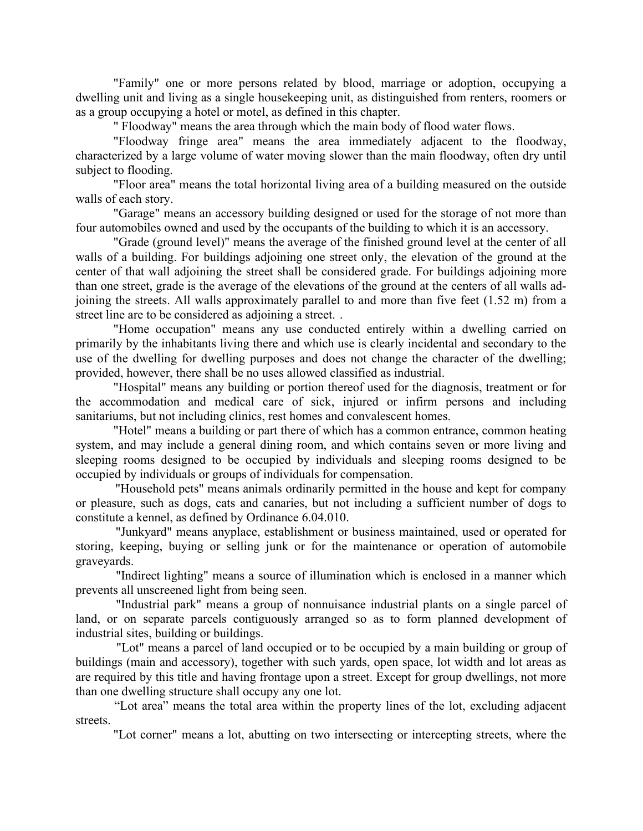"Family" one or more persons related by blood, marriage or adoption, occupying a dwelling unit and living as a single housekeeping unit, as distinguished from renters, roomers or as a group occupying a hotel or motel, as defined in this chapter.

" Floodway" means the area through which the main body of flood water flows.

"Floodway fringe area" means the area immediately adjacent to the floodway, characterized by a large volume of water moving slower than the main floodway, often dry until subject to flooding.

"Floor area" means the total horizontal living area of a building measured on the outside walls of each story.

"Garage" means an accessory building designed or used for the storage of not more than four automobiles owned and used by the occupants of the building to which it is an accessory.

"Grade (ground level)" means the average of the finished ground level at the center of all walls of a building. For buildings adjoining one street only, the elevation of the ground at the center of that wall adjoining the street shall be considered grade. For buildings adjoining more than one street, grade is the average of the elevations of the ground at the centers of all walls adjoining the streets. All walls approximately parallel to and more than five feet (1.52 m) from a street line are to be considered as adjoining a street. .

 "Home occupation" means any use conducted entirely within a dwelling carried on primarily by the inhabitants living there and which use is clearly incidental and secondary to the use of the dwelling for dwelling purposes and does not change the character of the dwelling; provided, however, there shall be no uses allowed classified as industrial.

 "Hospital" means any building or portion thereof used for the diagnosis, treatment or for the accommodation and medical care of sick, injured or infirm persons and including sanitariums, but not including clinics, rest homes and convalescent homes.

"Hotel" means a building or part there of which has a common entrance, common heating system, and may include a general dining room, and which contains seven or more living and sleeping rooms designed to be occupied by individuals and sleeping rooms designed to be occupied by individuals or groups of individuals for compensation.

"Household pets" means animals ordinarily permitted in the house and kept for company or pleasure, such as dogs, cats and canaries, but not including a sufficient number of dogs to constitute a kennel, as defined by Ordinance 6.04.010.

"Junkyard" means anyplace, establishment or business maintained, used or operated for storing, keeping, buying or selling junk or for the maintenance or operation of automobile graveyards.

"Indirect lighting" means a source of illumination which is enclosed in a manner which prevents all unscreened light from being seen.

"Industrial park" means a group of nonnuisance industrial plants on a single parcel of land, or on separate parcels contiguously arranged so as to form planned development of industrial sites, building or buildings.

"Lot" means a parcel of land occupied or to be occupied by a main building or group of buildings (main and accessory), together with such yards, open space, lot width and lot areas as are required by this title and having frontage upon a street. Except for group dwellings, not more than one dwelling structure shall occupy any one lot.

"Lot area" means the total area within the property lines of the lot, excluding adjacent streets.

"Lot corner" means a lot, abutting on two intersecting or intercepting streets, where the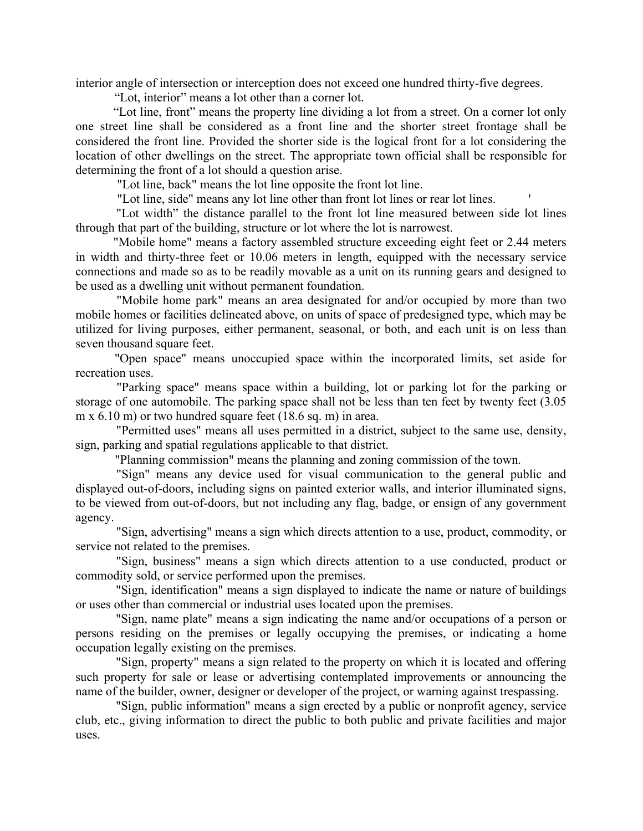interior angle of intersection or interception does not exceed one hundred thirty-five degrees.

"Lot, interior" means a lot other than a corner lot.

"Lot line, front" means the property line dividing a lot from a street. On a corner lot only one street line shall be considered as a front line and the shorter street frontage shall be considered the front line. Provided the shorter side is the logical front for a lot considering the location of other dwellings on the street. The appropriate town official shall be responsible for determining the front of a lot should a question arise.

"Lot line, back" means the lot line opposite the front lot line.

"Lot line, side" means any lot line other than front lot lines or rear lot lines. '

"Lot width" the distance parallel to the front lot line measured between side lot lines through that part of the building, structure or lot where the lot is narrowest.

"Mobile home" means a factory assembled structure exceeding eight feet or 2.44 meters in width and thirty-three feet or 10.06 meters in length, equipped with the necessary service connections and made so as to be readily movable as a unit on its running gears and designed to be used as a dwelling unit without permanent foundation.

"Mobile home park" means an area designated for and/or occupied by more than two mobile homes or facilities delineated above, on units of space of predesigned type, which may be utilized for living purposes, either permanent, seasonal, or both, and each unit is on less than seven thousand square feet.

"Open space" means unoccupied space within the incorporated limits, set aside for recreation uses.

"Parking space" means space within a building, lot or parking lot for the parking or storage of one automobile. The parking space shall not be less than ten feet by twenty feet (3.05 m x 6.10 m) or two hundred square feet (18.6 sq. m) in area.

"Permitted uses" means all uses permitted in a district, subject to the same use, density, sign, parking and spatial regulations applicable to that district.

"Planning commission" means the planning and zoning commission of the town.

"Sign" means any device used for visual communication to the general public and displayed out-of-doors, including signs on painted exterior walls, and interior illuminated signs, to be viewed from out-of-doors, but not including any flag, badge, or ensign of any government agency.

"Sign, advertising" means a sign which directs attention to a use, product, commodity, or service not related to the premises.

"Sign, business" means a sign which directs attention to a use conducted, product or commodity sold, or service performed upon the premises.

"Sign, identification" means a sign displayed to indicate the name or nature of buildings or uses other than commercial or industrial uses located upon the premises.

"Sign, name plate" means a sign indicating the name and/or occupations of a person or persons residing on the premises or legally occupying the premises, or indicating a home occupation legally existing on the premises.

"Sign, property" means a sign related to the property on which it is located and offering such property for sale or lease or advertising contemplated improvements or announcing the name of the builder, owner, designer or developer of the project, or warning against trespassing.

"Sign, public information" means a sign erected by a public or nonprofit agency, service club, etc., giving information to direct the public to both public and private facilities and major uses.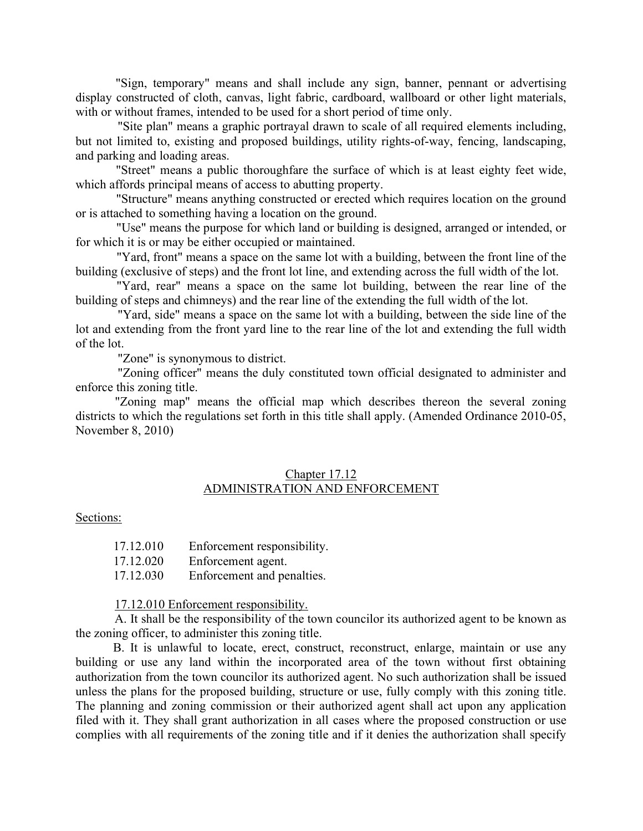"Sign, temporary" means and shall include any sign, banner, pennant or advertising display constructed of cloth, canvas, light fabric, cardboard, wallboard or other light materials, with or without frames, intended to be used for a short period of time only.

 "Site plan" means a graphic portrayal drawn to scale of all required elements including, but not limited to, existing and proposed buildings, utility rights-of-way, fencing, landscaping, and parking and loading areas.

"Street" means a public thoroughfare the surface of which is at least eighty feet wide, which affords principal means of access to abutting property.

"Structure" means anything constructed or erected which requires location on the ground or is attached to something having a location on the ground.

"Use" means the purpose for which land or building is designed, arranged or intended, or for which it is or may be either occupied or maintained.

"Yard, front" means a space on the same lot with a building, between the front line of the building (exclusive of steps) and the front lot line, and extending across the full width of the lot.

"Yard, rear" means a space on the same lot building, between the rear line of the building of steps and chimneys) and the rear line of the extending the full width of the lot.

 "Yard, side" means a space on the same lot with a building, between the side line of the lot and extending from the front yard line to the rear line of the lot and extending the full width of the lot.

"Zone" is synonymous to district.

 "Zoning officer" means the duly constituted town official designated to administer and enforce this zoning title.

"Zoning map" means the official map which describes thereon the several zoning districts to which the regulations set forth in this title shall apply. (Amended Ordinance 2010-05, November 8, 2010)

## Chapter 17.12 ADMINISTRATION AND ENFORCEMENT

#### Sections:

| 17.12.010 | Enforcement responsibility. |
|-----------|-----------------------------|
| 17.12.020 | Enforcement agent.          |
| 17.12.030 | Enforcement and penalties.  |

17.12.010 Enforcement responsibility.

A. It shall be the responsibility of the town councilor its authorized agent to be known as the zoning officer, to administer this zoning title.

B. It is unlawful to locate, erect, construct, reconstruct, enlarge, maintain or use any building or use any land within the incorporated area of the town without first obtaining authorization from the town councilor its authorized agent. No such authorization shall be issued unless the plans for the proposed building, structure or use, fully comply with this zoning title. The planning and zoning commission or their authorized agent shall act upon any application filed with it. They shall grant authorization in all cases where the proposed construction or use complies with all requirements of the zoning title and if it denies the authorization shall specify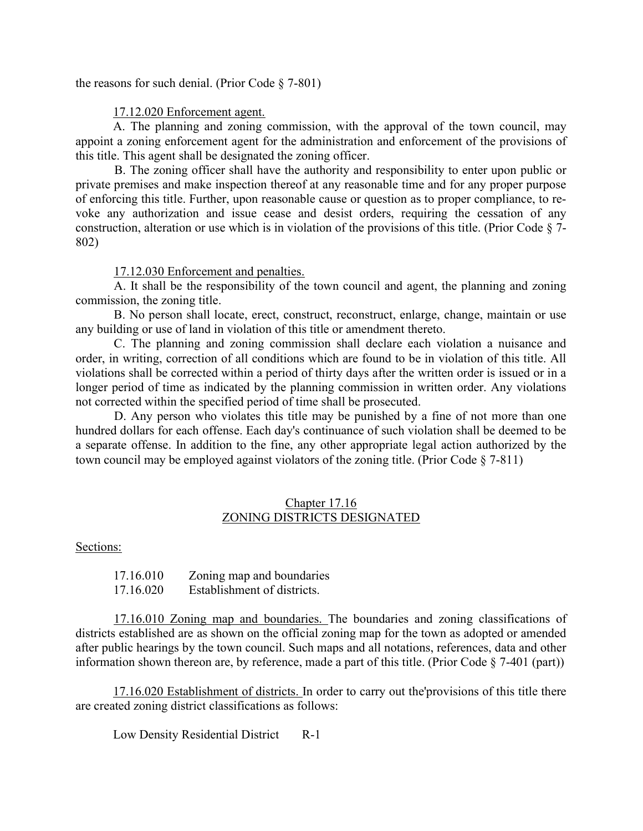the reasons for such denial. (Prior Code  $\S$  7-801)

### 17.12.020 Enforcement agent.

A. The planning and zoning commission, with the approval of the town council, may appoint a zoning enforcement agent for the administration and enforcement of the provisions of this title. This agent shall be designated the zoning officer.

B. The zoning officer shall have the authority and responsibility to enter upon public or private premises and make inspection thereof at any reasonable time and for any proper purpose of enforcing this title. Further, upon reasonable cause or question as to proper compliance, to revoke any authorization and issue cease and desist orders, requiring the cessation of any construction, alteration or use which is in violation of the provisions of this title. (Prior Code § 7- 802)

17.12.030 Enforcement and penalties.

A. It shall be the responsibility of the town council and agent, the planning and zoning commission, the zoning title.

B. No person shall locate, erect, construct, reconstruct, enlarge, change, maintain or use any building or use of land in violation of this title or amendment thereto.

C. The planning and zoning commission shall declare each violation a nuisance and order, in writing, correction of all conditions which are found to be in violation of this title. All violations shall be corrected within a period of thirty days after the written order is issued or in a longer period of time as indicated by the planning commission in written order. Any violations not corrected within the specified period of time shall be prosecuted.

D. Any person who violates this title may be punished by a fine of not more than one hundred dollars for each offense. Each day's continuance of such violation shall be deemed to be a separate offense. In addition to the fine, any other appropriate legal action authorized by the town council may be employed against violators of the zoning title. (Prior Code § 7-811)

### Chapter 17.16 ZONING DISTRICTS DESIGNATED

Sections:

17.16.010 Zoning map and boundaries 17.16.020 Establishment of districts.

17.16.010 Zoning map and boundaries. The boundaries and zoning classifications of districts established are as shown on the official zoning map for the town as adopted or amended after public hearings by the town council. Such maps and all notations, references, data and other information shown thereon are, by reference, made a part of this title. (Prior Code  $\S$  7-401 (part))

17.16.020 Establishment of districts. In order to carry out the'provisions of this title there are created zoning district classifications as follows:

Low Density Residential District R-1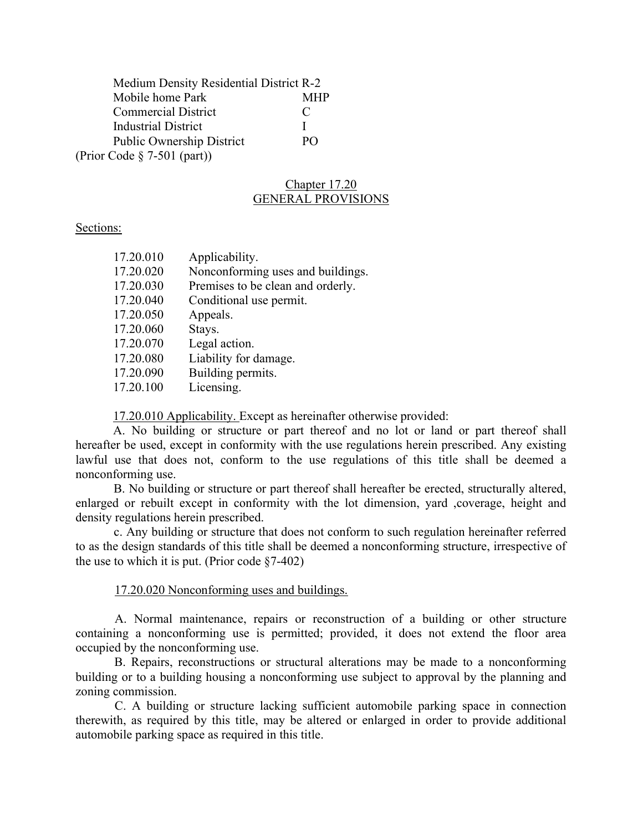| Medium Density Residential District R-2 |                |
|-----------------------------------------|----------------|
| Mobile home Park                        | <b>MHP</b>     |
| <b>Commercial District</b>              | €              |
| <b>Industrial District</b>              |                |
| <b>Public Ownership District</b>        | P <sub>O</sub> |
| (Prior Code $\S$ 7-501 (part))          |                |

# Chapter 17.20 GENERAL PROVISIONS

#### Sections:

| 17.20.010 | Applicability.                    |
|-----------|-----------------------------------|
| 17.20.020 | Nonconforming uses and buildings. |
| 17.20.030 | Premises to be clean and orderly. |
| 17.20.040 | Conditional use permit.           |
| 17.20.050 | Appeals.                          |
| 17.20.060 | Stays.                            |
| 17.20.070 | Legal action.                     |
| 17.20.080 | Liability for damage.             |
| 17.20.090 | Building permits.                 |
| 17.20.100 | Licensing.                        |

17.20.010 Applicability. Except as hereinafter otherwise provided:

A. No building or structure or part thereof and no lot or land or part thereof shall hereafter be used, except in conformity with the use regulations herein prescribed. Any existing lawful use that does not, conform to the use regulations of this title shall be deemed a nonconforming use.

B. No building or structure or part thereof shall hereafter be erected, structurally altered, enlarged or rebuilt except in conformity with the lot dimension, yard ,coverage, height and density regulations herein prescribed.

c. Any building or structure that does not conform to such regulation hereinafter referred to as the design standards of this title shall be deemed a nonconforming structure, irrespective of the use to which it is put. (Prior code  $\S7-402$ )

## 17.20.020 Nonconforming uses and buildings.

A. Normal maintenance, repairs or reconstruction of a building or other structure containing a nonconforming use is permitted; provided, it does not extend the floor area occupied by the nonconforming use.

B. Repairs, reconstructions or structural alterations may be made to a nonconforming building or to a building housing a nonconforming use subject to approval by the planning and zoning commission.

 C. A building or structure lacking sufficient automobile parking space in connection therewith, as required by this title, may be altered or enlarged in order to provide additional automobile parking space as required in this title.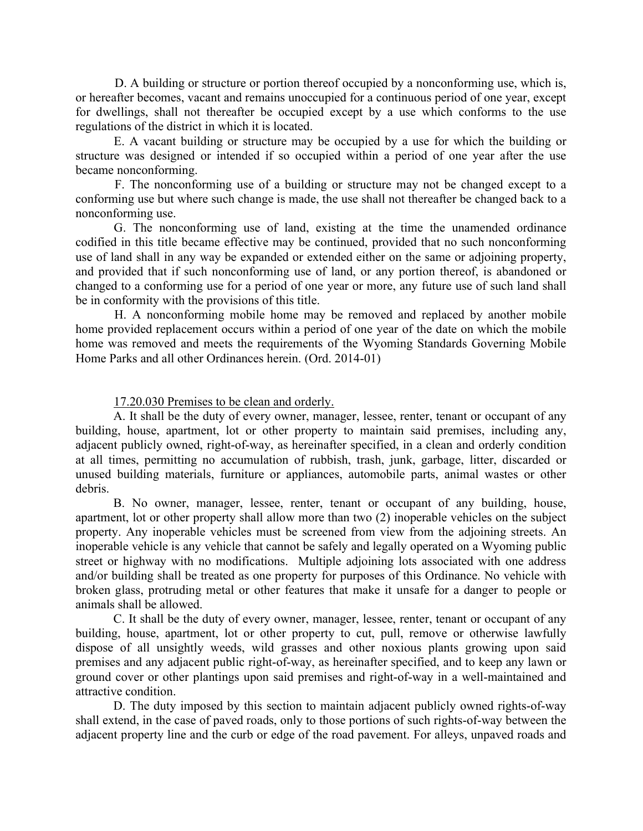D. A building or structure or portion thereof occupied by a nonconforming use, which is, or hereafter becomes, vacant and remains unoccupied for a continuous period of one year, except for dwellings, shall not thereafter be occupied except by a use which conforms to the use regulations of the district in which it is located.

E. A vacant building or structure may be occupied by a use for which the building or structure was designed or intended if so occupied within a period of one year after the use became nonconforming.

 F. The nonconforming use of a building or structure may not be changed except to a conforming use but where such change is made, the use shall not thereafter be changed back to a nonconforming use.

G. The nonconforming use of land, existing at the time the unamended ordinance codified in this title became effective may be continued, provided that no such nonconforming use of land shall in any way be expanded or extended either on the same or adjoining property, and provided that if such nonconforming use of land, or any portion thereof, is abandoned or changed to a conforming use for a period of one year or more, any future use of such land shall be in conformity with the provisions of this title.

H. A nonconforming mobile home may be removed and replaced by another mobile home provided replacement occurs within a period of one year of the date on which the mobile home was removed and meets the requirements of the Wyoming Standards Governing Mobile Home Parks and all other Ordinances herein. (Ord. 2014-01)

### 17.20.030 Premises to be clean and orderly.

A. It shall be the duty of every owner, manager, lessee, renter, tenant or occupant of any building, house, apartment, lot or other property to maintain said premises, including any, adjacent publicly owned, right-of-way, as hereinafter specified, in a clean and orderly condition at all times, permitting no accumulation of rubbish, trash, junk, garbage, litter, discarded or unused building materials, furniture or appliances, automobile parts, animal wastes or other debris.

B. No owner, manager, lessee, renter, tenant or occupant of any building, house, apartment, lot or other property shall allow more than two (2) inoperable vehicles on the subject property. Any inoperable vehicles must be screened from view from the adjoining streets. An inoperable vehicle is any vehicle that cannot be safely and legally operated on a Wyoming public street or highway with no modifications. Multiple adjoining lots associated with one address and/or building shall be treated as one property for purposes of this Ordinance. No vehicle with broken glass, protruding metal or other features that make it unsafe for a danger to people or animals shall be allowed.

 C. It shall be the duty of every owner, manager, lessee, renter, tenant or occupant of any building, house, apartment, lot or other property to cut, pull, remove or otherwise lawfully dispose of all unsightly weeds, wild grasses and other noxious plants growing upon said premises and any adjacent public right-of-way, as hereinafter specified, and to keep any lawn or ground cover or other plantings upon said premises and right-of-way in a well-maintained and attractive condition.

D. The duty imposed by this section to maintain adjacent publicly owned rights-of-way shall extend, in the case of paved roads, only to those portions of such rights-of-way between the adjacent property line and the curb or edge of the road pavement. For alleys, unpaved roads and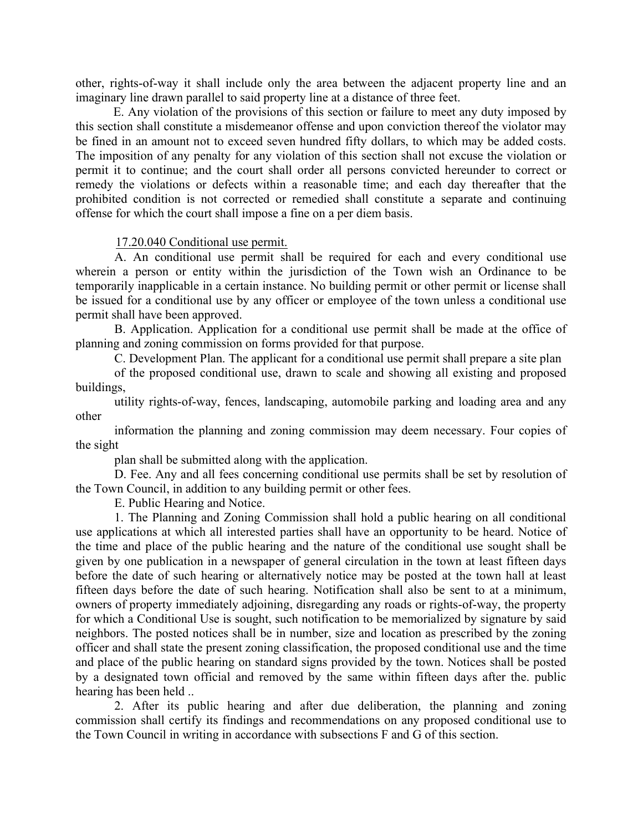other, rights-of-way it shall include only the area between the adjacent property line and an imaginary line drawn parallel to said property line at a distance of three feet.

E. Any violation of the provisions of this section or failure to meet any duty imposed by this section shall constitute a misdemeanor offense and upon conviction thereof the violator may be fined in an amount not to exceed seven hundred fifty dollars, to which may be added costs. The imposition of any penalty for any violation of this section shall not excuse the violation or permit it to continue; and the court shall order all persons convicted hereunder to correct or remedy the violations or defects within a reasonable time; and each day thereafter that the prohibited condition is not corrected or remedied shall constitute a separate and continuing offense for which the court shall impose a fine on a per diem basis.

#### 17.20.040 Conditional use permit.

A. An conditional use permit shall be required for each and every conditional use wherein a person or entity within the jurisdiction of the Town wish an Ordinance to be temporarily inapplicable in a certain instance. No building permit or other permit or license shall be issued for a conditional use by any officer or employee of the town unless a conditional use permit shall have been approved.

B. Application. Application for a conditional use permit shall be made at the office of planning and zoning commission on forms provided for that purpose.

C. Development Plan. The applicant for a conditional use permit shall prepare a site plan

of the proposed conditional use, drawn to scale and showing all existing and proposed buildings,

utility rights-of-way, fences, landscaping, automobile parking and loading area and any other

information the planning and zoning commission may deem necessary. Four copies of the sight

plan shall be submitted along with the application.

D. Fee. Any and all fees concerning conditional use permits shall be set by resolution of the Town Council, in addition to any building permit or other fees.

E. Public Hearing and Notice.

1. The Planning and Zoning Commission shall hold a public hearing on all conditional use applications at which all interested parties shall have an opportunity to be heard. Notice of the time and place of the public hearing and the nature of the conditional use sought shall be given by one publication in a newspaper of general circulation in the town at least fifteen days before the date of such hearing or alternatively notice may be posted at the town hall at least fifteen days before the date of such hearing. Notification shall also be sent to at a minimum, owners of property immediately adjoining, disregarding any roads or rights-of-way, the property for which a Conditional Use is sought, such notification to be memorialized by signature by said neighbors. The posted notices shall be in number, size and location as prescribed by the zoning officer and shall state the present zoning classification, the proposed conditional use and the time and place of the public hearing on standard signs provided by the town. Notices shall be posted by a designated town official and removed by the same within fifteen days after the. public hearing has been held ..

2. After its public hearing and after due deliberation, the planning and zoning commission shall certify its findings and recommendations on any proposed conditional use to the Town Council in writing in accordance with subsections F and G of this section.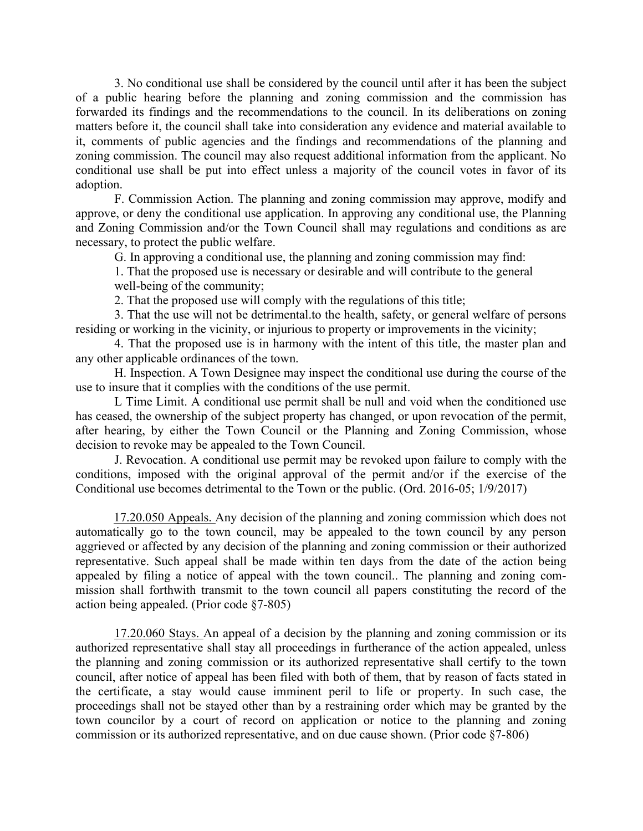3. No conditional use shall be considered by the council until after it has been the subject of a public hearing before the planning and zoning commission and the commission has forwarded its findings and the recommendations to the council. In its deliberations on zoning matters before it, the council shall take into consideration any evidence and material available to it, comments of public agencies and the findings and recommendations of the planning and zoning commission. The council may also request additional information from the applicant. No conditional use shall be put into effect unless a majority of the council votes in favor of its adoption.

F. Commission Action. The planning and zoning commission may approve, modify and approve, or deny the conditional use application. In approving any conditional use, the Planning and Zoning Commission and/or the Town Council shall may regulations and conditions as are necessary, to protect the public welfare.

G. In approving a conditional use, the planning and zoning commission may find:

1. That the proposed use is necessary or desirable and will contribute to the general well-being of the community;

2. That the proposed use will comply with the regulations of this title;

3. That the use will not be detrimental.to the health, safety, or general welfare of persons residing or working in the vicinity, or injurious to property or improvements in the vicinity;

4. That the proposed use is in harmony with the intent of this title, the master plan and any other applicable ordinances of the town.

H. Inspection. A Town Designee may inspect the conditional use during the course of the use to insure that it complies with the conditions of the use permit.

L Time Limit. A conditional use permit shall be null and void when the conditioned use has ceased, the ownership of the subject property has changed, or upon revocation of the permit, after hearing, by either the Town Council or the Planning and Zoning Commission, whose decision to revoke may be appealed to the Town Council.

J. Revocation. A conditional use permit may be revoked upon failure to comply with the conditions, imposed with the original approval of the permit and/or if the exercise of the Conditional use becomes detrimental to the Town or the public. (Ord. 2016-05; 1/9/2017)

17.20.050 Appeals. Any decision of the planning and zoning commission which does not automatically go to the town council, may be appealed to the town council by any person aggrieved or affected by any decision of the planning and zoning commission or their authorized representative. Such appeal shall be made within ten days from the date of the action being appealed by filing a notice of appeal with the town council.. The planning and zoning commission shall forthwith transmit to the town council all papers constituting the record of the action being appealed. (Prior code §7-805)

17.20.060 Stays. An appeal of a decision by the planning and zoning commission or its authorized representative shall stay all proceedings in furtherance of the action appealed, unless the planning and zoning commission or its authorized representative shall certify to the town council, after notice of appeal has been filed with both of them, that by reason of facts stated in the certificate, a stay would cause imminent peril to life or property. In such case, the proceedings shall not be stayed other than by a restraining order which may be granted by the town councilor by a court of record on application or notice to the planning and zoning commission or its authorized representative, and on due cause shown. (Prior code §7-806)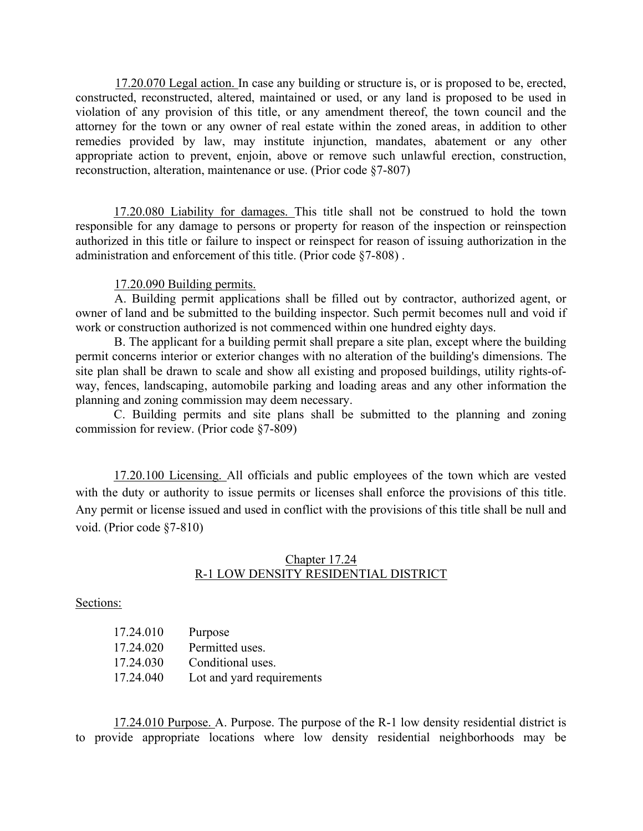17.20.070 Legal action. In case any building or structure is, or is proposed to be, erected, constructed, reconstructed, altered, maintained or used, or any land is proposed to be used in violation of any provision of this title, or any amendment thereof, the town council and the attorney for the town or any owner of real estate within the zoned areas, in addition to other remedies provided by law, may institute injunction, mandates, abatement or any other appropriate action to prevent, enjoin, above or remove such unlawful erection, construction, reconstruction, alteration, maintenance or use. (Prior code §7-807)

17.20.080 Liability for damages. This title shall not be construed to hold the town responsible for any damage to persons or property for reason of the inspection or reinspection authorized in this title or failure to inspect or reinspect for reason of issuing authorization in the administration and enforcement of this title. (Prior code §7-808) .

#### 17.20.090 Building permits.

A. Building permit applications shall be filled out by contractor, authorized agent, or owner of land and be submitted to the building inspector. Such permit becomes null and void if work or construction authorized is not commenced within one hundred eighty days.

B. The applicant for a building permit shall prepare a site plan, except where the building permit concerns interior or exterior changes with no alteration of the building's dimensions. The site plan shall be drawn to scale and show all existing and proposed buildings, utility rights-ofway, fences, landscaping, automobile parking and loading areas and any other information the planning and zoning commission may deem necessary.

C. Building permits and site plans shall be submitted to the planning and zoning commission for review. (Prior code §7-809)

17.20.100 Licensing. All officials and public employees of the town which are vested with the duty or authority to issue permits or licenses shall enforce the provisions of this title. Any permit or license issued and used in conflict with the provisions of this title shall be null and void. (Prior code §7-810)

## Chapter 17.24 R-1 LOW DENSITY RESIDENTIAL DISTRICT

Sections:

| 17.24.010 | Purpose                   |
|-----------|---------------------------|
| 17.24.020 | Permitted uses.           |
| 17.24.030 | Conditional uses.         |
| 17.24.040 | Lot and yard requirements |

17.24.010 Purpose. A. Purpose. The purpose of the R-1 low density residential district is to provide appropriate locations where low density residential neighborhoods may be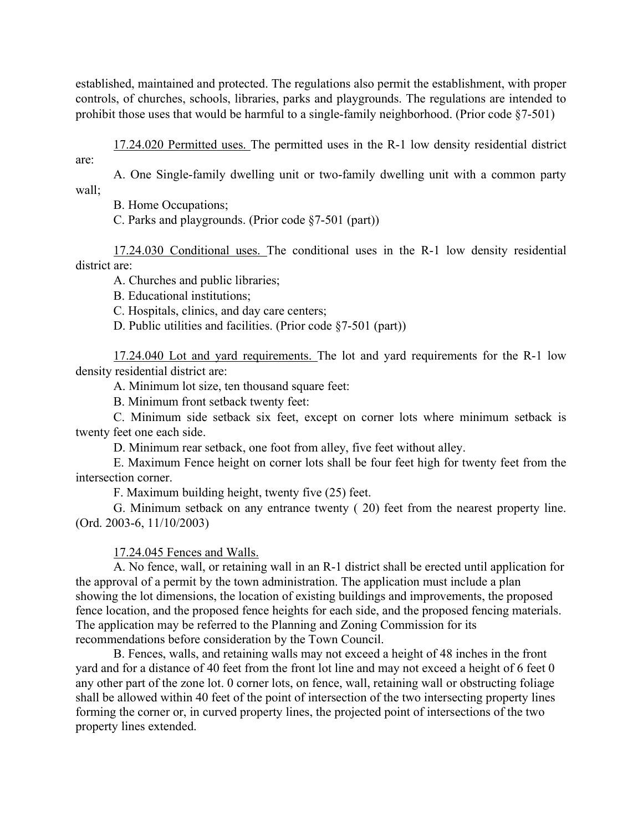established, maintained and protected. The regulations also permit the establishment, with proper controls, of churches, schools, libraries, parks and playgrounds. The regulations are intended to prohibit those uses that would be harmful to a single-family neighborhood. (Prior code §7-501)

17.24.020 Permitted uses. The permitted uses in the R-1 low density residential district are:

A. One Single-family dwelling unit or two-family dwelling unit with a common party wall;

B. Home Occupations;

C. Parks and playgrounds. (Prior code §7-501 (part))

17.24.030 Conditional uses. The conditional uses in the R-1 low density residential district are:

A. Churches and public libraries;

B. Educational institutions;

C. Hospitals, clinics, and day care centers;

D. Public utilities and facilities. (Prior code §7-501 (part))

17.24.040 Lot and yard requirements. The lot and yard requirements for the R-1 low density residential district are:

A. Minimum lot size, ten thousand square feet:

B. Minimum front setback twenty feet:

C. Minimum side setback six feet, except on corner lots where minimum setback is twenty feet one each side.

D. Minimum rear setback, one foot from alley, five feet without alley.

E. Maximum Fence height on corner lots shall be four feet high for twenty feet from the intersection corner.

F. Maximum building height, twenty five (25) feet.

G. Minimum setback on any entrance twenty ( 20) feet from the nearest property line. (Ord. 2003-6, 11/10/2003)

17.24.045 Fences and Walls.

A. No fence, wall, or retaining wall in an R-1 district shall be erected until application for the approval of a permit by the town administration. The application must include a plan showing the lot dimensions, the location of existing buildings and improvements, the proposed fence location, and the proposed fence heights for each side, and the proposed fencing materials. The application may be referred to the Planning and Zoning Commission for its recommendations before consideration by the Town Council.

B. Fences, walls, and retaining walls may not exceed a height of 48 inches in the front yard and for a distance of 40 feet from the front lot line and may not exceed a height of 6 feet 0 any other part of the zone lot. 0 corner lots, on fence, wall, retaining wall or obstructing foliage shall be allowed within 40 feet of the point of intersection of the two intersecting property lines forming the corner or, in curved property lines, the projected point of intersections of the two property lines extended.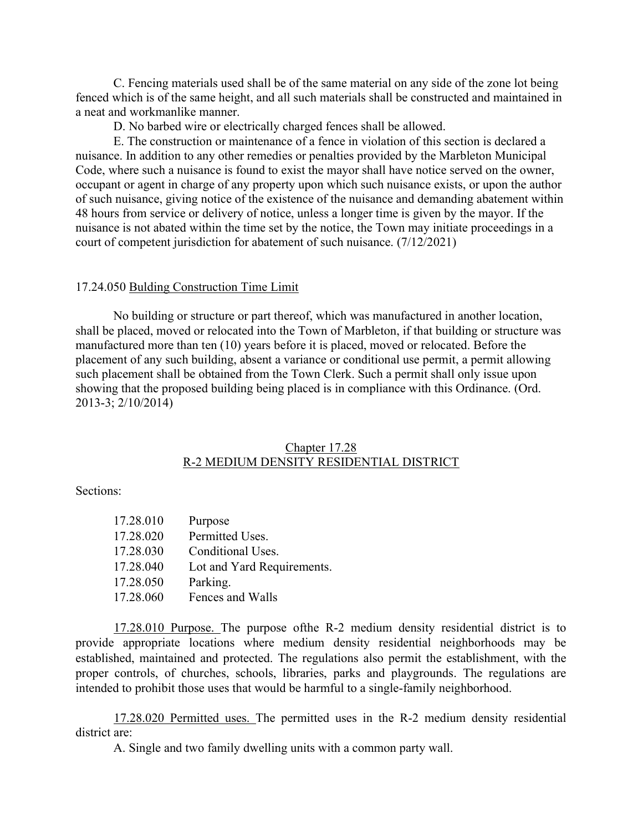C. Fencing materials used shall be of the same material on any side of the zone lot being fenced which is of the same height, and all such materials shall be constructed and maintained in a neat and workmanlike manner.

D. No barbed wire or electrically charged fences shall be allowed.

E. The construction or maintenance of a fence in violation of this section is declared a nuisance. In addition to any other remedies or penalties provided by the Marbleton Municipal Code, where such a nuisance is found to exist the mayor shall have notice served on the owner, occupant or agent in charge of any property upon which such nuisance exists, or upon the author of such nuisance, giving notice of the existence of the nuisance and demanding abatement within 48 hours from service or delivery of notice, unless a longer time is given by the mayor. If the nuisance is not abated within the time set by the notice, the Town may initiate proceedings in a court of competent jurisdiction for abatement of such nuisance. (7/12/2021)

#### 17.24.050 Bulding Construction Time Limit

No building or structure or part thereof, which was manufactured in another location, shall be placed, moved or relocated into the Town of Marbleton, if that building or structure was manufactured more than ten (10) years before it is placed, moved or relocated. Before the placement of any such building, absent a variance or conditional use permit, a permit allowing such placement shall be obtained from the Town Clerk. Such a permit shall only issue upon showing that the proposed building being placed is in compliance with this Ordinance. (Ord. 2013-3; 2/10/2014)

### Chapter 17.28 R-2 MEDIUM DENSITY RESIDENTIAL DISTRICT

Sections:

| 17.28.010 | Purpose                    |
|-----------|----------------------------|
| 17.28.020 | Permitted Uses.            |
| 17.28.030 | Conditional Uses.          |
| 17.28.040 | Lot and Yard Requirements. |
| 17.28.050 | Parking.                   |
| 17.28.060 | Fences and Walls           |

17.28.010 Purpose. The purpose ofthe R-2 medium density residential district is to provide appropriate locations where medium density residential neighborhoods may be established, maintained and protected. The regulations also permit the establishment, with the proper controls, of churches, schools, libraries, parks and playgrounds. The regulations are intended to prohibit those uses that would be harmful to a single-family neighborhood.

17.28.020 Permitted uses. The permitted uses in the R-2 medium density residential district are:

A. Single and two family dwelling units with a common party wall.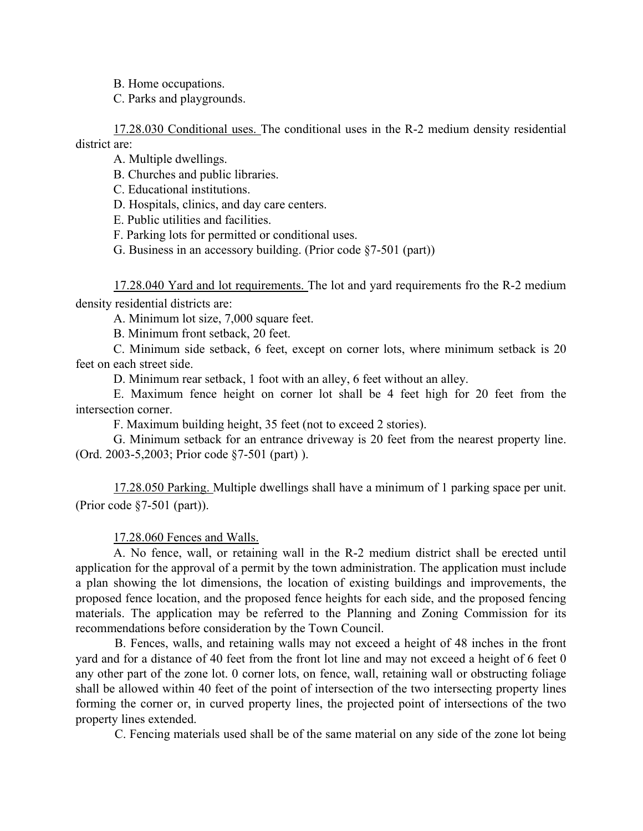B. Home occupations.

C. Parks and playgrounds.

17.28.030 Conditional uses. The conditional uses in the R-2 medium density residential district are:

A. Multiple dwellings.

B. Churches and public libraries.

C. Educational institutions.

D. Hospitals, clinics, and day care centers.

E. Public utilities and facilities.

F. Parking lots for permitted or conditional uses.

G. Business in an accessory building. (Prior code §7-501 (part))

17.28.040 Yard and lot requirements. The lot and yard requirements fro the R-2 medium density residential districts are:

A. Minimum lot size, 7,000 square feet.

B. Minimum front setback, 20 feet.

C. Minimum side setback, 6 feet, except on corner lots, where minimum setback is 20 feet on each street side.

D. Minimum rear setback, 1 foot with an alley, 6 feet without an alley.

E. Maximum fence height on corner lot shall be 4 feet high for 20 feet from the intersection corner.

F. Maximum building height, 35 feet (not to exceed 2 stories).

G. Minimum setback for an entrance driveway is 20 feet from the nearest property line. (Ord. 2003-5,2003; Prior code §7-501 (part) ).

17.28.050 Parking. Multiple dwellings shall have a minimum of 1 parking space per unit. (Prior code §7-501 (part)).

17.28.060 Fences and Walls.

A. No fence, wall, or retaining wall in the R-2 medium district shall be erected until application for the approval of a permit by the town administration. The application must include a plan showing the lot dimensions, the location of existing buildings and improvements, the proposed fence location, and the proposed fence heights for each side, and the proposed fencing materials. The application may be referred to the Planning and Zoning Commission for its recommendations before consideration by the Town Council.

B. Fences, walls, and retaining walls may not exceed a height of 48 inches in the front yard and for a distance of 40 feet from the front lot line and may not exceed a height of 6 feet 0 any other part of the zone lot. 0 corner lots, on fence, wall, retaining wall or obstructing foliage shall be allowed within 40 feet of the point of intersection of the two intersecting property lines forming the corner or, in curved property lines, the projected point of intersections of the two property lines extended.

C. Fencing materials used shall be of the same material on any side of the zone lot being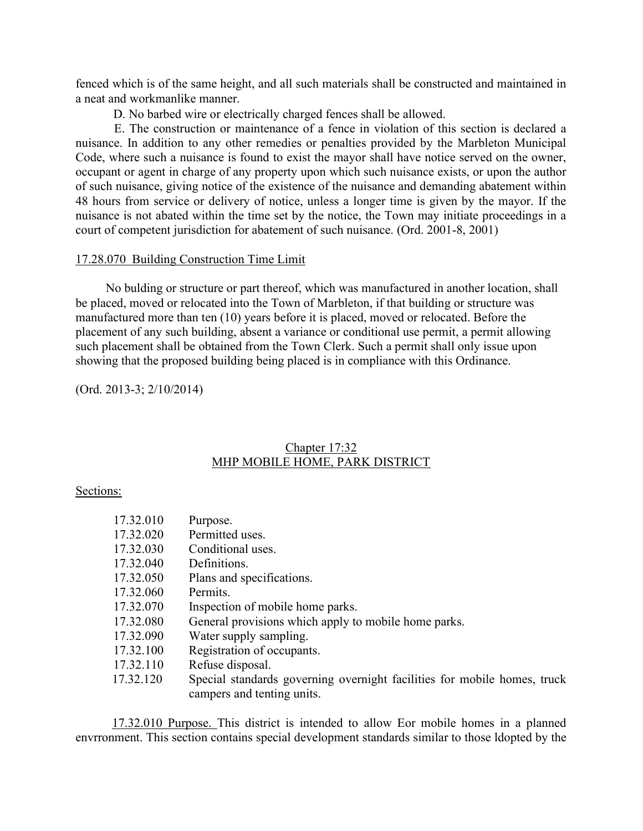fenced which is of the same height, and all such materials shall be constructed and maintained in a neat and workmanlike manner.

D. No barbed wire or electrically charged fences shall be allowed.

E. The construction or maintenance of a fence in violation of this section is declared a nuisance. In addition to any other remedies or penalties provided by the Marbleton Municipal Code, where such a nuisance is found to exist the mayor shall have notice served on the owner, occupant or agent in charge of any property upon which such nuisance exists, or upon the author of such nuisance, giving notice of the existence of the nuisance and demanding abatement within 48 hours from service or delivery of notice, unless a longer time is given by the mayor. If the nuisance is not abated within the time set by the notice, the Town may initiate proceedings in a court of competent jurisdiction for abatement of such nuisance. (Ord. 2001-8, 2001)

### 17.28.070 Building Construction Time Limit

No bulding or structure or part thereof, which was manufactured in another location, shall be placed, moved or relocated into the Town of Marbleton, if that building or structure was manufactured more than ten (10) years before it is placed, moved or relocated. Before the placement of any such building, absent a variance or conditional use permit, a permit allowing such placement shall be obtained from the Town Clerk. Such a permit shall only issue upon showing that the proposed building being placed is in compliance with this Ordinance.

(Ord. 2013-3; 2/10/2014)

# Chapter 17:32 MHP MOBILE HOME, PARK DISTRICT

## Sections:

| 17.32.010 | Purpose.                                                                 |
|-----------|--------------------------------------------------------------------------|
| 17.32.020 | Permitted uses.                                                          |
| 17.32.030 | Conditional uses.                                                        |
| 17.32.040 | Definitions.                                                             |
| 17.32.050 | Plans and specifications.                                                |
| 17.32.060 | Permits.                                                                 |
| 17.32.070 | Inspection of mobile home parks.                                         |
| 17.32.080 | General provisions which apply to mobile home parks.                     |
| 17.32.090 | Water supply sampling.                                                   |
| 17.32.100 | Registration of occupants.                                               |
| 17.32.110 | Refuse disposal.                                                         |
| 17.32.120 | Special standards governing overnight facilities for mobile homes, truck |
|           | campers and tenting units.                                               |

17.32.010 Purpose. This district is intended to allow Eor mobile homes in a planned envrronment. This section contains special development standards similar to those ldopted by the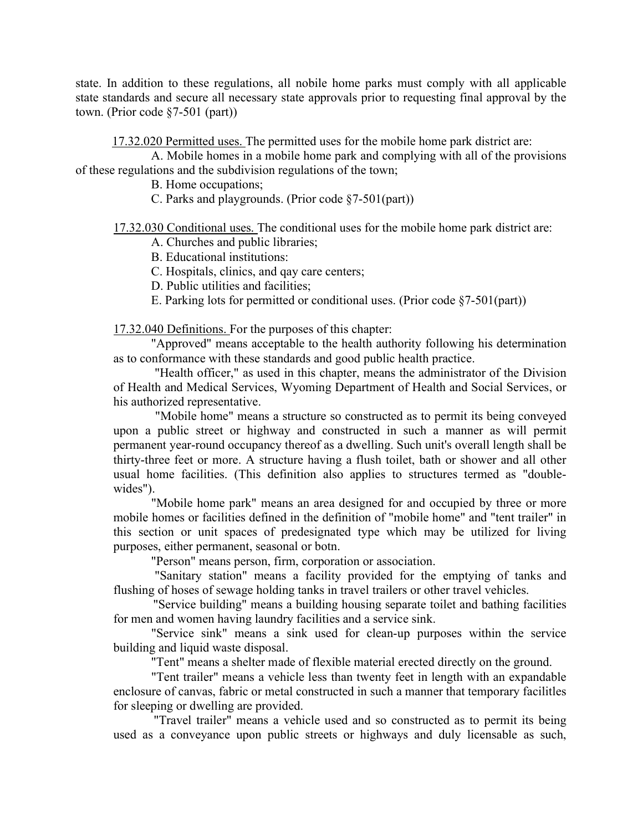state. In addition to these regulations, all nobile home parks must comply with all applicable state standards and secure all necessary state approvals prior to requesting final approval by the town. (Prior code §7-501 (part))

17.32.020 Permitted uses. The permitted uses for the mobile home park district are:

 A. Mobile homes in a mobile home park and complying with all of the provisions of these regulations and the subdivision regulations of the town;

B. Home occupations;

C. Parks and playgrounds. (Prior code §7-501(part))

17.32.030 Conditional uses. The conditional uses for the mobile home park district are:

A. Churches and public libraries;

B. Educational institutions:

C. Hospitals, clinics, and qay care centers;

D. Public utilities and facilities;

E. Parking lots for permitted or conditional uses. (Prior code §7-501(part))

17.32.040 Definitions. For the purposes of this chapter:

"Approved" means acceptable to the health authority following his determination as to conformance with these standards and good public health practice.

"Health officer," as used in this chapter, means the administrator of the Division of Health and Medical Services, Wyoming Department of Health and Social Services, or his authorized representative.

"Mobile home" means a structure so constructed as to permit its being conveyed upon a public street or highway and constructed in such a manner as will permit permanent year-round occupancy thereof as a dwelling. Such unit's overall length shall be thirty-three feet or more. A structure having a flush toilet, bath or shower and all other usual home facilities. (This definition also applies to structures termed as "doublewides").

 "Mobile home park" means an area designed for and occupied by three or more mobile homes or facilities defined in the definition of "mobile home" and "tent trailer" in this section or unit spaces of predesignated type which may be utilized for living purposes, either permanent, seasonal or botn.

"Person" means person, firm, corporation or association.

"Sanitary station" means a facility provided for the emptying of tanks and flushing of hoses of sewage holding tanks in travel trailers or other travel vehicles.

"Service building" means a building housing separate toilet and bathing facilities for men and women having laundry facilities and a service sink.

 "Service sink" means a sink used for clean-up purposes within the service building and liquid waste disposal.

"Tent" means a shelter made of flexible material erected directly on the ground.

 "Tent trailer" means a vehicle less than twenty feet in length with an expandable enclosure of canvas, fabric or metal constructed in such a manner that temporary facilitles for sleeping or dwelling are provided.

"Travel trailer" means a vehicle used and so constructed as to permit its being used as a conveyance upon public streets or highways and duly licensable as such,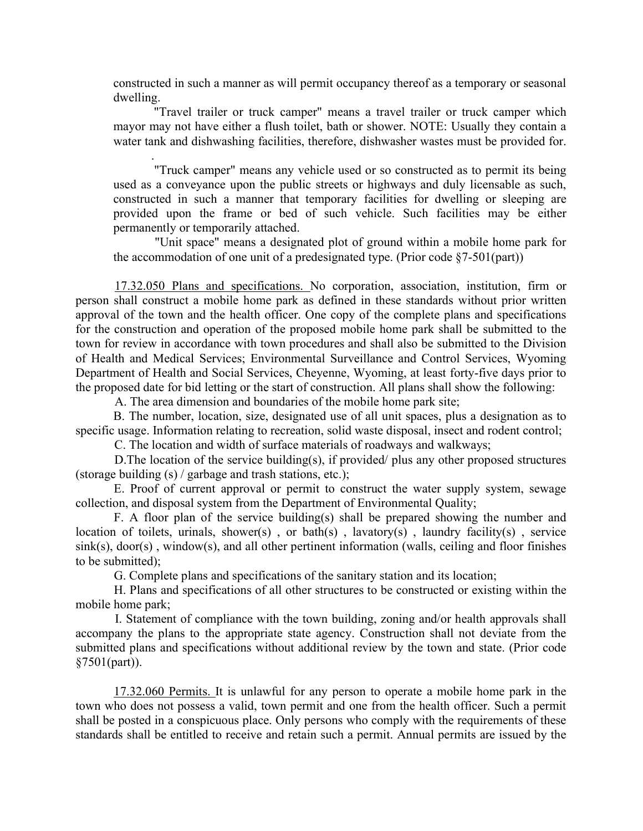constructed in such a manner as will permit occupancy thereof as a temporary or seasonal dwelling.

"Travel trailer or truck camper" means a travel trailer or truck camper which mayor may not have either a flush toilet, bath or shower. NOTE: Usually they contain a water tank and dishwashing facilities, therefore, dishwasher wastes must be provided for.

"Truck camper" means any vehicle used or so constructed as to permit its being used as a conveyance upon the public streets or highways and duly licensable as such, constructed in such a manner that temporary facilities for dwelling or sleeping are provided upon the frame or bed of such vehicle. Such facilities may be either permanently or temporarily attached.

"Unit space" means a designated plot of ground within a mobile home park for the accommodation of one unit of a predesignated type. (Prior code  $\S7-501(part)$ )

17.32.050 Plans and specifications. No corporation, association, institution, firm or person shall construct a mobile home park as defined in these standards without prior written approval of the town and the health officer. One copy of the complete plans and specifications for the construction and operation of the proposed mobile home park shall be submitted to the town for review in accordance with town procedures and shall also be submitted to the Division of Health and Medical Services; Environmental Surveillance and Control Services, Wyoming Department of Health and Social Services, Cheyenne, Wyoming, at least forty-five days prior to the proposed date for bid letting or the start of construction. All plans shall show the following:

A. The area dimension and boundaries of the mobile home park site;

.

B. The number, location, size, designated use of all unit spaces, plus a designation as to specific usage. Information relating to recreation, solid waste disposal, insect and rodent control;

C. The location and width of surface materials of roadways and walkways;

D. The location of the service building(s), if provided/ plus any other proposed structures (storage building (s) / garbage and trash stations, etc.);

E. Proof of current approval or permit to construct the water supply system, sewage collection, and disposal system from the Department of Environmental Quality;

F. A floor plan of the service building(s) shall be prepared showing the number and location of toilets, urinals, shower(s), or bath(s), lavatory(s), laundry facility(s), service  $sink(s)$ ,  $door(s)$ , window(s), and all other pertinent information (walls, ceiling and floor finishes to be submitted);

G. Complete plans and specifications of the sanitary station and its location;

 H. Plans and specifications of all other structures to be constructed or existing within the mobile home park;

I. Statement of compliance with the town building, zoning and/or health approvals shall accompany the plans to the appropriate state agency. Construction shall not deviate from the submitted plans and specifications without additional review by the town and state. (Prior code §7501(part)).

17.32.060 Permits. It is unlawful for any person to operate a mobile home park in the town who does not possess a valid, town permit and one from the health officer. Such a permit shall be posted in a conspicuous place. Only persons who comply with the requirements of these standards shall be entitled to receive and retain such a permit. Annual permits are issued by the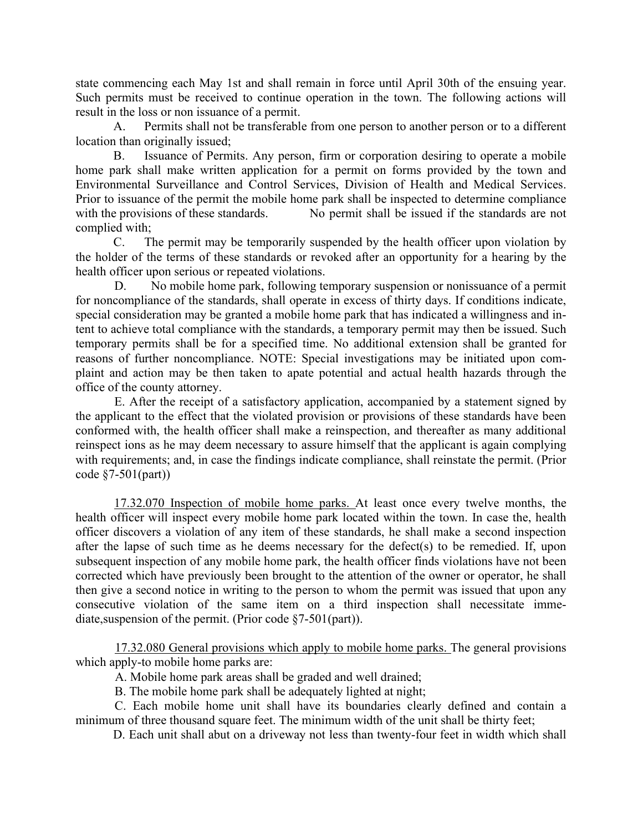state commencing each May 1st and shall remain in force until April 30th of the ensuing year. Such permits must be received to continue operation in the town. The following actions will result in the loss or non issuance of a permit.

 A. Permits shall not be transferable from one person to another person or to a different location than originally issued;

 B. Issuance of Permits. Any person, firm or corporation desiring to operate a mobile home park shall make written application for a permit on forms provided by the town and Environmental Surveillance and Control Services, Division of Health and Medical Services. Prior to issuance of the permit the mobile home park shall be inspected to determine compliance with the provisions of these standards. No permit shall be issued if the standards are not complied with;

 C. The permit may be temporarily suspended by the health officer upon violation by the holder of the terms of these standards or revoked after an opportunity for a hearing by the health officer upon serious or repeated violations.

D. No mobile home park, following temporary suspension or nonissuance of a permit for noncompliance of the standards, shall operate in excess of thirty days. If conditions indicate, special consideration may be granted a mobile home park that has indicated a willingness and intent to achieve total compliance with the standards, a temporary permit may then be issued. Such temporary permits shall be for a specified time. No additional extension shall be granted for reasons of further noncompliance. NOTE: Special investigations may be initiated upon complaint and action may be then taken to apate potential and actual health hazards through the office of the county attorney.

E. After the receipt of a satisfactory application, accompanied by a statement signed by the applicant to the effect that the violated provision or provisions of these standards have been conformed with, the health officer shall make a reinspection, and thereafter as many additional reinspect ions as he may deem necessary to assure himself that the applicant is again complying with requirements; and, in case the findings indicate compliance, shall reinstate the permit. (Prior code §7-501(part))

17.32.070 Inspection of mobile home parks. At least once every twelve months, the health officer will inspect every mobile home park located within the town. In case the, health officer discovers a violation of any item of these standards, he shall make a second inspection after the lapse of such time as he deems necessary for the defect(s) to be remedied. If, upon subsequent inspection of any mobile home park, the health officer finds violations have not been corrected which have previously been brought to the attention of the owner or operator, he shall then give a second notice in writing to the person to whom the permit was issued that upon any consecutive violation of the same item on a third inspection shall necessitate immediate, suspension of the permit. (Prior code §7-501(part)).

17.32.080 General provisions which apply to mobile home parks. The general provisions which apply-to mobile home parks are:

A. Mobile home park areas shall be graded and well drained;

B. The mobile home park shall be adequately lighted at night;

 C. Each mobile home unit shall have its boundaries clearly defined and contain a minimum of three thousand square feet. The minimum width of the unit shall be thirty feet;

D. Each unit shall abut on a driveway not less than twenty-four feet in width which shall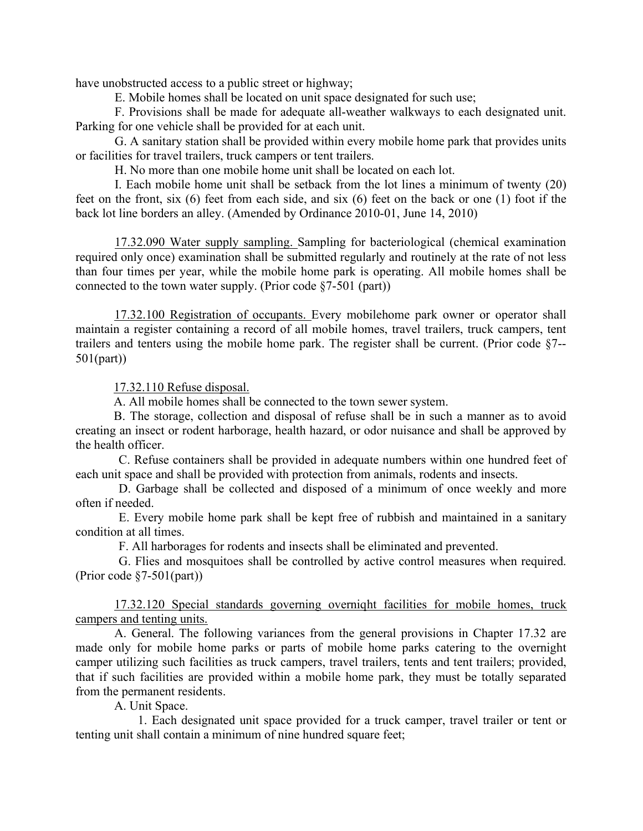have unobstructed access to a public street or highway;

E. Mobile homes shall be located on unit space designated for such use;

 F. Provisions shall be made for adequate all-weather walkways to each designated unit. Parking for one vehicle shall be provided for at each unit.

 G. A sanitary station shall be provided within every mobile home park that provides units or facilities for travel trailers, truck campers or tent trailers.

H. No more than one mobile home unit shall be located on each lot.

 I. Each mobile home unit shall be setback from the lot lines a minimum of twenty (20) feet on the front, six (6) feet from each side, and six (6) feet on the back or one (1) foot if the back lot line borders an alley. (Amended by Ordinance 2010-01, June 14, 2010)

17.32.090 Water supply sampling. Sampling for bacteriological (chemical examination required only once) examination shall be submitted regularly and routinely at the rate of not less than four times per year, while the mobile home park is operating. All mobile homes shall be connected to the town water supply. (Prior code §7-501 (part))

17.32.100 Registration of occupants. Every mobilehome park owner or operator shall maintain a register containing a record of all mobile homes, travel trailers, truck campers, tent trailers and tenters using the mobile home park. The register shall be current. (Prior code §7-- 501(part))

17.32.110 Refuse disposal.

A. All mobile homes shall be connected to the town sewer system.

B. The storage, collection and disposal of refuse shall be in such a manner as to avoid creating an insect or rodent harborage, health hazard, or odor nuisance and shall be approved by the health officer.

 C. Refuse containers shall be provided in adequate numbers within one hundred feet of each unit space and shall be provided with protection from animals, rodents and insects.

 D. Garbage shall be collected and disposed of a minimum of once weekly and more often if needed.

 E. Every mobile home park shall be kept free of rubbish and maintained in a sanitary condition at all times.

F. All harborages for rodents and insects shall be eliminated and prevented.

 G. Flies and mosquitoes shall be controlled by active control measures when required. (Prior code §7-501(part))

17.32.120 Special standards governing overniqht facilities for mobile homes, truck campers and tenting units.

A. General. The following variances from the general provisions in Chapter 17.32 are made only for mobile home parks or parts of mobile home parks catering to the overnight camper utilizing such facilities as truck campers, travel trailers, tents and tent trailers; provided, that if such facilities are provided within a mobile home park, they must be totally separated from the permanent residents.

A. Unit Space.

1. Each designated unit space provided for a truck camper, travel trailer or tent or tenting unit shall contain a minimum of nine hundred square feet;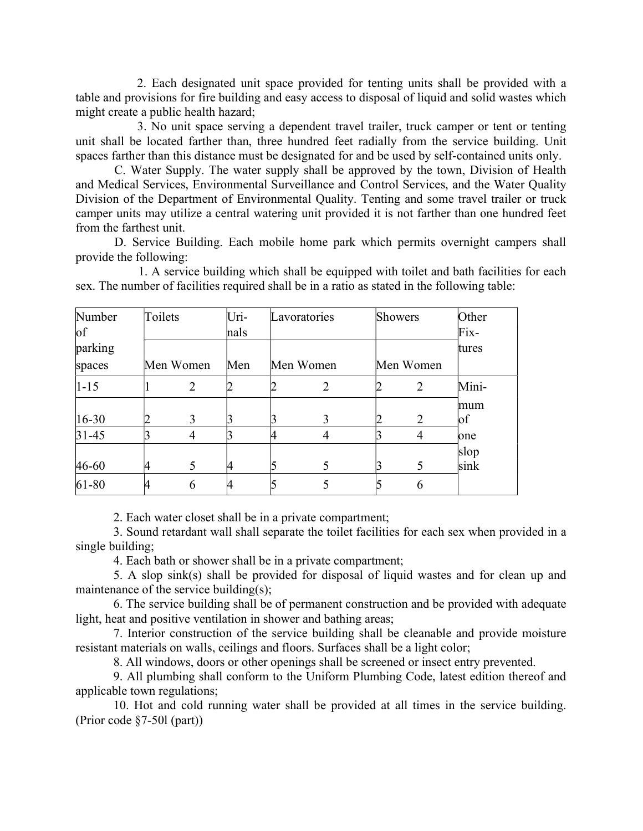2. Each designated unit space provided for tenting units shall be provided with a table and provisions for fire building and easy access to disposal of liquid and solid wastes which might create a public health hazard;

3. No unit space serving a dependent travel trailer, truck camper or tent or tenting unit shall be located farther than, three hundred feet radially from the service building. Unit spaces farther than this distance must be designated for and be used by self-contained units only.

C. Water Supply. The water supply shall be approved by the town, Division of Health and Medical Services, Environmental Surveillance and Control Services, and the Water Quality Division of the Department of Environmental Quality. Tenting and some travel trailer or truck camper units may utilize a central watering unit provided it is not farther than one hundred feet from the farthest unit.

D. Service Building. Each mobile home park which permits overnight campers shall provide the following:

1. A service building which shall be equipped with toilet and bath facilities for each sex. The number of facilities required shall be in a ratio as stated in the following table:

| Number     | Toilets |                | Uri- | Lavoratories | Showers |                | Other  |
|------------|---------|----------------|------|--------------|---------|----------------|--------|
| $\circ$ f  |         |                | nals |              |         |                | $Fix-$ |
| parking    |         |                |      |              |         |                | tures  |
| spaces     |         | Men Women      | Men  | Men Women    |         | Men Women      |        |
| $ 1 - 15 $ |         | $\overline{2}$ |      | 2            |         | $\overline{2}$ | Mini-  |
|            |         |                |      |              |         |                | mum    |
| $ 16-30 $  |         | 3              |      | 3            |         | 2              | of     |
| $31 - 45$  |         | 4              |      | 4            |         | 4              | one    |
|            |         |                |      |              |         |                | slop   |
| $46 - 60$  | 14      | 5.             | 14   | 5            |         | 5              | sink   |
| 61-80      |         | 6              |      |              |         | 6              |        |

2. Each water closet shall be in a private compartment;

3. Sound retardant wall shall separate the toilet facilities for each sex when provided in a single building;

4. Each bath or shower shall be in a private compartment;

5. A slop sink(s) shall be provided for disposal of liquid wastes and for clean up and maintenance of the service building(s);

6. The service building shall be of permanent construction and be provided with adequate light, heat and positive ventilation in shower and bathing areas;

7. Interior construction of the service building shall be cleanable and provide moisture resistant materials on walls, ceilings and floors. Surfaces shall be a light color;

8. All windows, doors or other openings shall be screened or insect entry prevented.

9. All plumbing shall conform to the Uniform Plumbing Code, latest edition thereof and applicable town regulations;

10. Hot and cold running water shall be provided at all times in the service building. (Prior code §7-50l (part))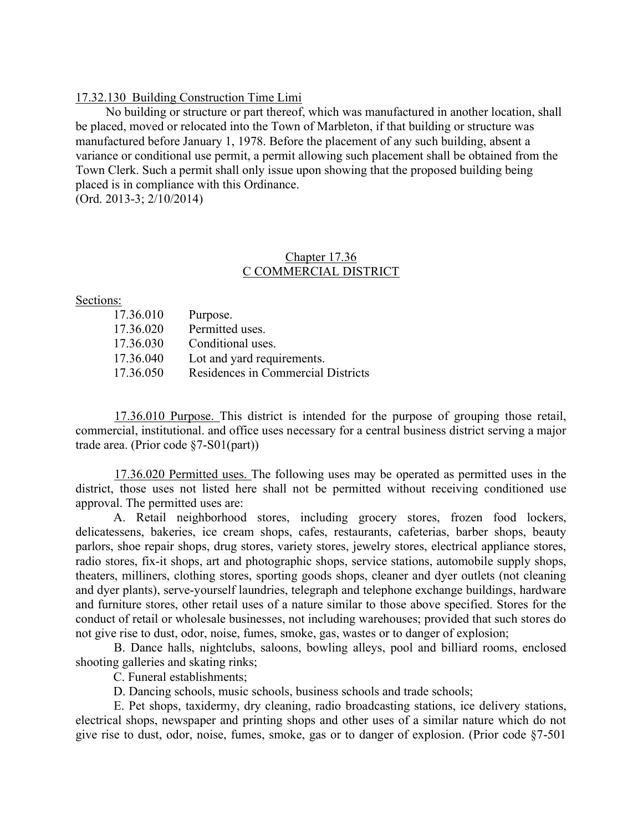#### 17.32.130 Building Construction Time Limi

No building or structure or part thereof, which was manufactured in another location, shall be placed, moved or relocated into the Town of Marbleton, if that building or structure was manufactured before January 1, 1978. Before the placement of any such building, absent a variance or conditional use permit, a permit allowing such placement shall be obtained from the Town Clerk. Such a permit shall only issue upon showing that the proposed building being placed is in compliance with this Ordinance. (Ord. 2013-3; 2/10/2014)

## Chapter 17.36 C COMMERCIAL DISTRICT

#### Sections:

| 17.36.010 | Purpose.                           |
|-----------|------------------------------------|
| 17.36.020 | Permitted uses.                    |
| 17.36.030 | Conditional uses.                  |
| 17.36.040 | Lot and yard requirements.         |
| 17.36.050 | Residences in Commercial Districts |

17.36.010 Purpose. This district is intended for the purpose of grouping those retail, commercial, institutional. and office uses necessary for a central business district serving a major trade area. (Prior code §7-S01(part))

17.36.020 Permitted uses. The following uses may be operated as permitted uses in the district, those uses not listed here shall not be permitted without receiving conditioned use approval. The permitted uses are:

A. Retail neighborhood stores, including grocery stores, frozen food lockers, delicatessens, bakeries, ice cream shops, cafes, restaurants, cafeterias, barber shops, beauty parlors, shoe repair shops, drug stores, variety stores, jewelry stores, electrical appliance stores, radio stores, fix-it shops, art and photographic shops, service stations, automobile supply shops, theaters, milliners, clothing stores, sporting goods shops, cleaner and dyer outlets (not cleaning and dyer plants), serve-yourself laundries, telegraph and telephone exchange buildings, hardware and furniture stores, other retail uses of a nature similar to those above specified. Stores for the conduct of retail or wholesale businesses, not including warehouses; provided that such stores do not give rise to dust, odor, noise, fumes, smoke, gas, wastes or to danger of explosion;

B. Dance halls, nightclubs, saloons, bowling alleys, pool and billiard rooms, enclosed shooting galleries and skating rinks;

C. Funeral establishments;

D. Dancing schools, music schools, business schools and trade schools;

E. Pet shops, taxidermy, dry cleaning, radio broadcasting stations, ice delivery stations, electrical shops, newspaper and printing shops and other uses of a similar nature which do not give rise to dust, odor, noise, fumes, smoke, gas or to danger of explosion. (Prior code §7-501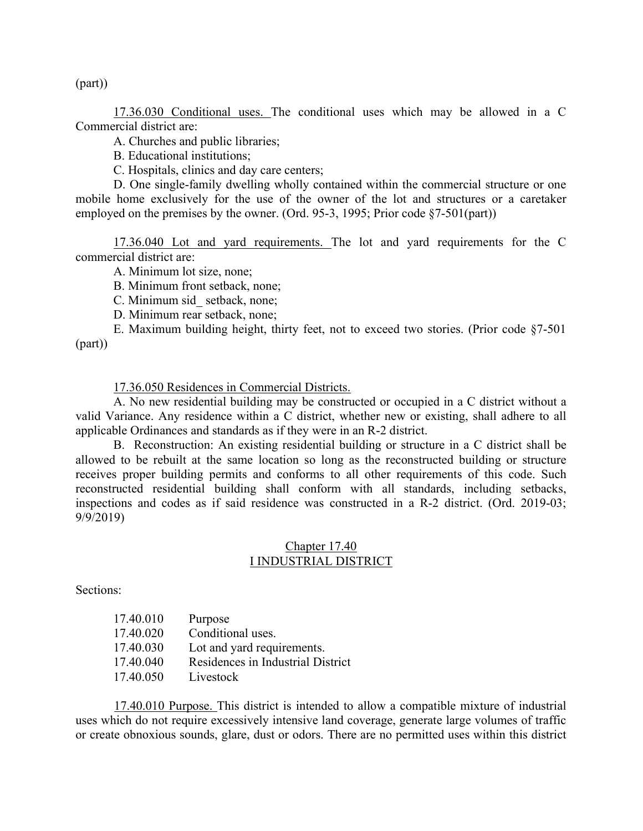(part))

17.36.030 Conditional uses. The conditional uses which may be allowed in a C Commercial district are:

A. Churches and public libraries;

B. Educational institutions;

C. Hospitals, clinics and day care centers;

D. One single-family dwelling wholly contained within the commercial structure or one mobile home exclusively for the use of the owner of the lot and structures or a caretaker employed on the premises by the owner. (Ord. 95-3, 1995; Prior code §7-501(part))

17.36.040 Lot and yard requirements. The lot and yard requirements for the C commercial district are:

A. Minimum lot size, none;

B. Minimum front setback, none;

C. Minimum sid\_ setback, none;

D. Minimum rear setback, none;

E. Maximum building height, thirty feet, not to exceed two stories. (Prior code §7-501 (part))

17.36.050 Residences in Commercial Districts.

A. No new residential building may be constructed or occupied in a C district without a valid Variance. Any residence within a C district, whether new or existing, shall adhere to all applicable Ordinances and standards as if they were in an R-2 district.

B. Reconstruction: An existing residential building or structure in a C district shall be allowed to be rebuilt at the same location so long as the reconstructed building or structure receives proper building permits and conforms to all other requirements of this code. Such reconstructed residential building shall conform with all standards, including setbacks, inspections and codes as if said residence was constructed in a R-2 district. (Ord. 2019-03; 9/9/2019)

### Chapter 17.40 I INDUSTRIAL DISTRICT

Sections:

| 17.40.010 | Purpose                           |
|-----------|-----------------------------------|
| 17.40.020 | Conditional uses.                 |
| 17.40.030 | Lot and yard requirements.        |
| 17.40.040 | Residences in Industrial District |
| 17.40.050 | Livestock                         |

17.40.010 Purpose. This district is intended to allow a compatible mixture of industrial uses which do not require excessively intensive land coverage, generate large volumes of traffic or create obnoxious sounds, glare, dust or odors. There are no permitted uses within this district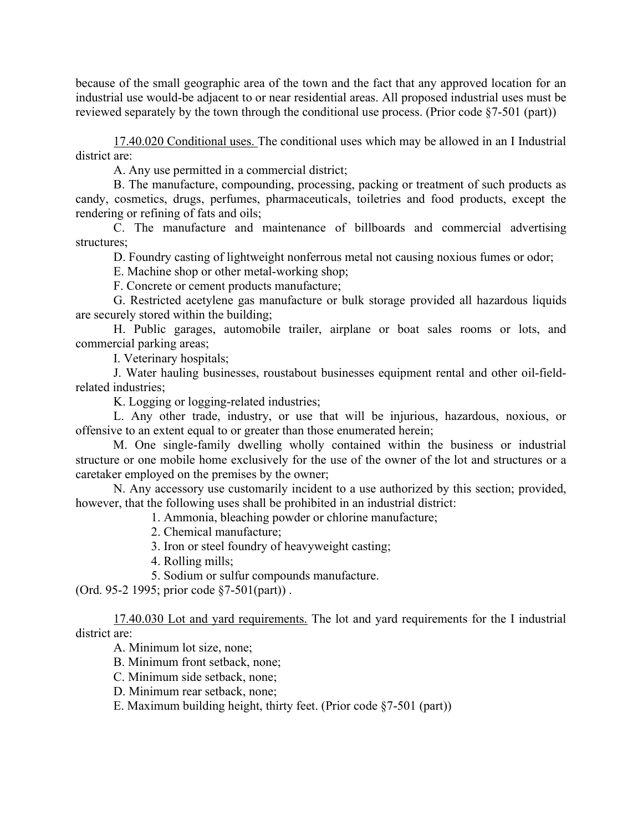because of the small geographic area of the town and the fact that any approved location for an industrial use would-be adjacent to or near residential areas. All proposed industrial uses must be reviewed separately by the town through the conditional use process. (Prior code §7-501 (part))

 17.40.020 Conditional uses. The conditional uses which may be allowed in an I Industrial district are:

A. Any use permitted in a commercial district;

 B. The manufacture, compounding, processing, packing or treatment of such products as candy, cosmetics, drugs, perfumes, pharmaceuticals, toiletries and food products, except the rendering or refining of fats and oils;

 C. The manufacture and maintenance of billboards and commercial advertising structures;

D. Foundry casting of lightweight nonferrous metal not causing noxious fumes or odor;

E. Machine shop or other metal-working shop;

F. Concrete or cement products manufacture;

G. Restricted acetylene gas manufacture or bulk storage provided all hazardous liquids are securely stored within the building;

 H. Public garages, automobile trailer, airplane or boat sales rooms or lots, and commercial parking areas;

I. Veterinary hospitals;

 J. Water hauling businesses, roustabout businesses equipment rental and other oil-fieldrelated industries;

K. Logging or logging-related industries;

 L. Any other trade, industry, or use that will be injurious, hazardous, noxious, or offensive to an extent equal to or greater than those enumerated herein;

M. One single-family dwelling wholly contained within the business or industrial structure or one mobile home exclusively for the use of the owner of the lot and structures or a caretaker employed on the premises by the owner;

N. Any accessory use customarily incident to a use authorized by this section; provided, however, that the following uses shall be prohibited in an industrial district:

1. Ammonia, bleaching powder or chlorine manufacture;

2. Chemical manufacture;

3. Iron or steel foundry of heavyweight casting;

4. Rolling mills;

5. Sodium or sulfur compounds manufacture.

(Ord. 95-2 1995; prior code §7-501(part)) .

17.40.030 Lot and yard requirements. The lot and yard requirements for the I industrial district are:

A. Minimum lot size, none;

B. Minimum front setback, none;

C. Minimum side setback, none;

D. Minimum rear setback, none;

E. Maximum building height, thirty feet. (Prior code §7-501 (part))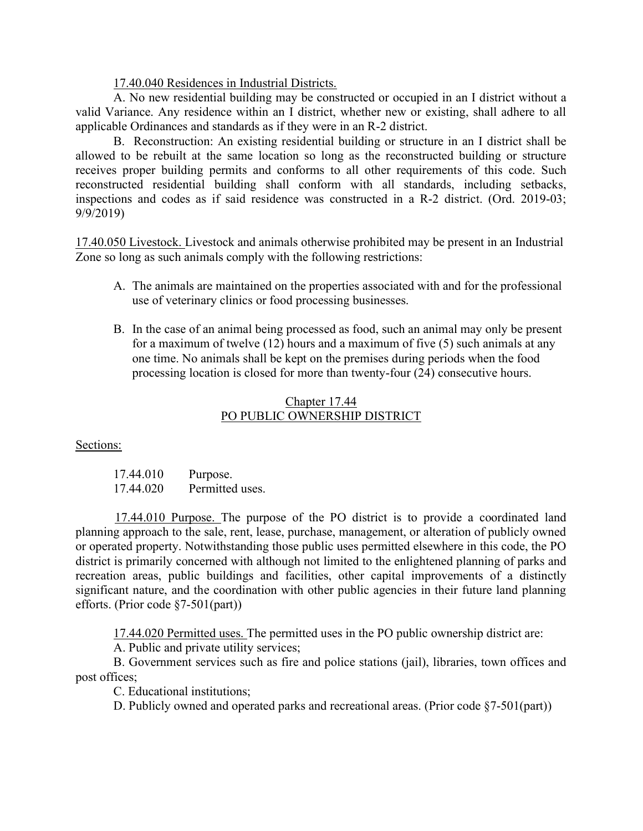17.40.040 Residences in Industrial Districts.

A. No new residential building may be constructed or occupied in an I district without a valid Variance. Any residence within an I district, whether new or existing, shall adhere to all applicable Ordinances and standards as if they were in an R-2 district.

B. Reconstruction: An existing residential building or structure in an I district shall be allowed to be rebuilt at the same location so long as the reconstructed building or structure receives proper building permits and conforms to all other requirements of this code. Such reconstructed residential building shall conform with all standards, including setbacks, inspections and codes as if said residence was constructed in a R-2 district. (Ord. 2019-03; 9/9/2019)

17.40.050 Livestock. Livestock and animals otherwise prohibited may be present in an Industrial Zone so long as such animals comply with the following restrictions:

- A. The animals are maintained on the properties associated with and for the professional use of veterinary clinics or food processing businesses.
- B. In the case of an animal being processed as food, such an animal may only be present for a maximum of twelve (12) hours and a maximum of five (5) such animals at any one time. No animals shall be kept on the premises during periods when the food processing location is closed for more than twenty-four (24) consecutive hours.

# Chapter 17.44 PO PUBLIC OWNERSHIP DISTRICT

Sections:

| 17.44.010 | Purpose.        |
|-----------|-----------------|
| 17.44.020 | Permitted uses. |

17.44.010 Purpose. The purpose of the PO district is to provide a coordinated land planning approach to the sale, rent, lease, purchase, management, or alteration of publicly owned or operated property. Notwithstanding those public uses permitted elsewhere in this code, the PO district is primarily concerned with although not limited to the enlightened planning of parks and recreation areas, public buildings and facilities, other capital improvements of a distinctly significant nature, and the coordination with other public agencies in their future land planning efforts. (Prior code §7-501(part))

17.44.020 Permitted uses. The permitted uses in the PO public ownership district are:

A. Public and private utility services;

 B. Government services such as fire and police stations (jail), libraries, town offices and post offices;

C. Educational institutions;

D. Publicly owned and operated parks and recreational areas. (Prior code  $\S7-501$ (part))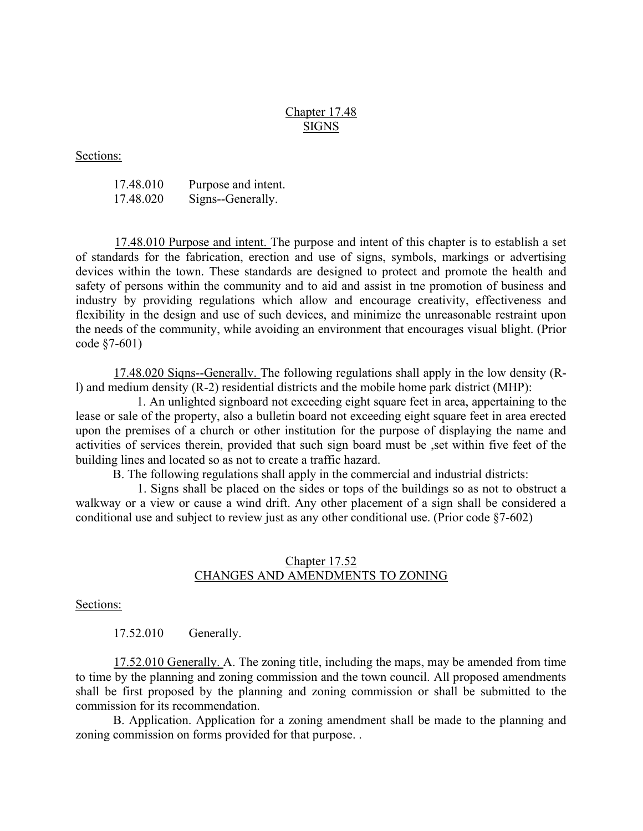## Chapter 17.48 SIGNS

Sections:

| 17.48.010 | Purpose and intent. |
|-----------|---------------------|
| 17.48.020 | Signs--Generally.   |

17.48.010 Purpose and intent. The purpose and intent of this chapter is to establish a set of standards for the fabrication, erection and use of signs, symbols, markings or advertising devices within the town. These standards are designed to protect and promote the health and safety of persons within the community and to aid and assist in tne promotion of business and industry by providing regulations which allow and encourage creativity, effectiveness and flexibility in the design and use of such devices, and minimize the unreasonable restraint upon the needs of the community, while avoiding an environment that encourages visual blight. (Prior code §7-601)

17.48.020 Siqns--Generallv. The following regulations shall apply in the low density (Rl) and medium density (R-2) residential districts and the mobile home park district (MHP):

1. An unlighted signboard not exceeding eight square feet in area, appertaining to the lease or sale of the property, also a bulletin board not exceeding eight square feet in area erected upon the premises of a church or other institution for the purpose of displaying the name and activities of services therein, provided that such sign board must be ,set within five feet of the building lines and located so as not to create a traffic hazard.

B. The following regulations shall apply in the commercial and industrial districts:

1. Signs shall be placed on the sides or tops of the buildings so as not to obstruct a walkway or a view or cause a wind drift. Any other placement of a sign shall be considered a conditional use and subject to review just as any other conditional use. (Prior code §7-602)

## Chapter 17.52 CHANGES AND AMENDMENTS TO ZONING

Sections:

17.52.010 Generally.

17.52.010 Generally. A. The zoning title, including the maps, may be amended from time to time by the planning and zoning commission and the town council. All proposed amendments shall be first proposed by the planning and zoning commission or shall be submitted to the commission for its recommendation.

B. Application. Application for a zoning amendment shall be made to the planning and zoning commission on forms provided for that purpose. .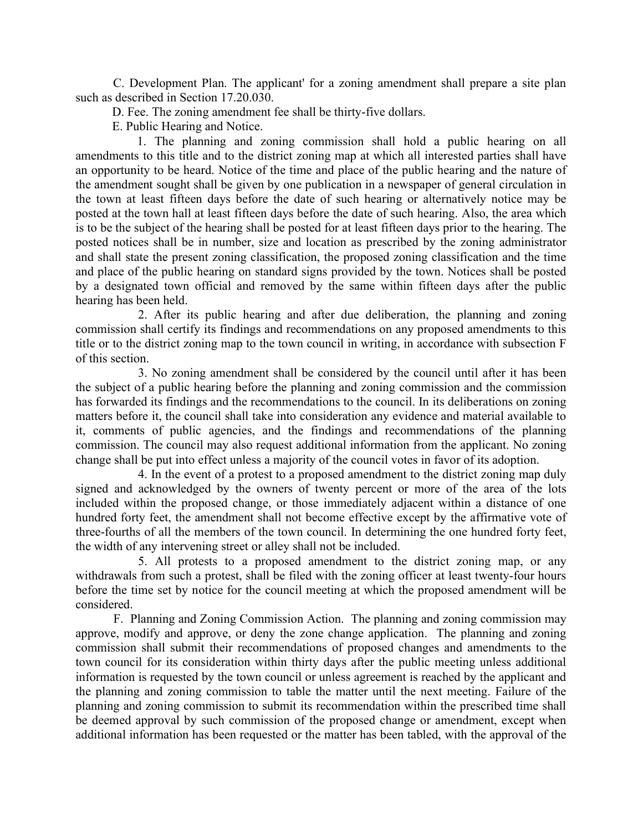C. Development Plan. The applicant' for a zoning amendment shall prepare a site plan such as described in Section 17.20.030.

D. Fee. The zoning amendment fee shall be thirty-five dollars.

E. Public Hearing and Notice.

1. The planning and zoning commission shall hold a public hearing on all amendments to this title and to the district zoning map at which all interested parties shall have an opportunity to be heard. Notice of the time and place of the public hearing and the nature of the amendment sought shall be given by one publication in a newspaper of general circulation in the town at least fifteen days before the date of such hearing or alternatively notice may be posted at the town hall at least fifteen days before the date of such hearing. Also, the area which is to be the subject of the hearing shall be posted for at least fifteen days prior to the hearing. The posted notices shall be in number, size and location as prescribed by the zoning administrator and shall state the present zoning classification, the proposed zoning classification and the time and place of the public hearing on standard signs provided by the town. Notices shall be posted by a designated town official and removed by the same within fifteen days after the public hearing has been held.

2. After its public hearing and after due deliberation, the planning and zoning commission shall certify its findings and recommendations on any proposed amendments to this title or to the district zoning map to the town council in writing, in accordance with subsection F of this section.

3. No zoning amendment shall be considered by the council until after it has been the subject of a public hearing before the planning and zoning commission and the commission has forwarded its findings and the recommendations to the council. In its deliberations on zoning matters before it, the council shall take into consideration any evidence and material available to it, comments of public agencies, and the findings and recommendations of the planning commission. The council may also request additional information from the applicant. No zoning change shall be put into effect unless a majority of the council votes in favor of its adoption.

4. In the event of a protest to a proposed amendment to the district zoning map duly signed and acknowledged by the owners of twenty percent or more of the area of the lots included within the proposed change, or those immediately adjacent within a distance of one hundred forty feet, the amendment shall not become effective except by the affirmative vote of three-fourths of all the members of the town council. In determining the one hundred forty feet, the width of any intervening street or alley shall not be included.

5. All protests to a proposed amendment to the district zoning map, or any withdrawals from such a protest, shall be filed with the zoning officer at least twenty-four hours before the time set by notice for the council meeting at which the proposed amendment will be considered.

 F. Planning and Zoning Commission Action. The planning and zoning commission may approve, modify and approve, or deny the zone change application. The planning and zoning commission shall submit their recommendations of proposed changes and amendments to the town council for its consideration within thirty days after the public meeting unless additional information is requested by the town council or unless agreement is reached by the applicant and the planning and zoning commission to table the matter until the next meeting. Failure of the planning and zoning commission to submit its recommendation within the prescribed time shall be deemed approval by such commission of the proposed change or amendment, except when additional information has been requested or the matter has been tabled, with the approval of the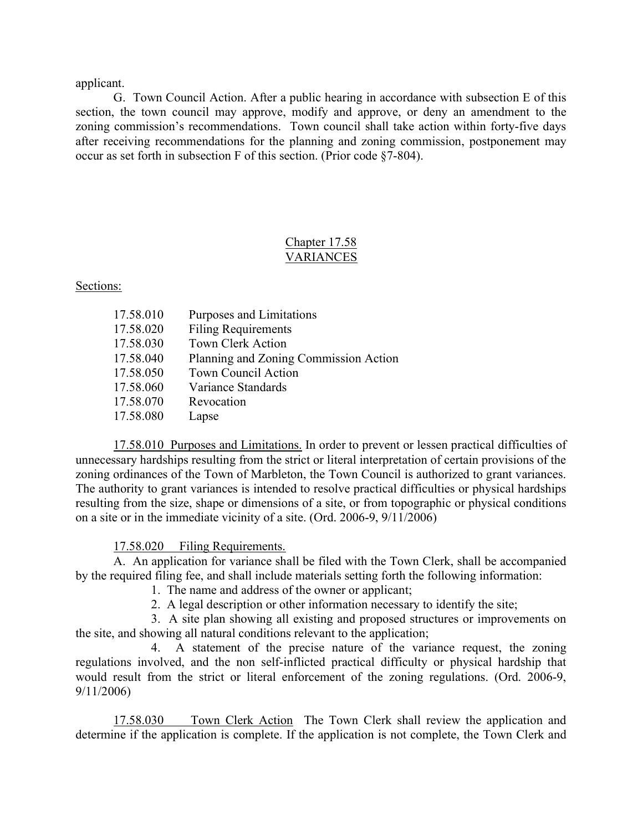applicant.

 G. Town Council Action. After a public hearing in accordance with subsection E of this section, the town council may approve, modify and approve, or deny an amendment to the zoning commission's recommendations. Town council shall take action within forty-five days after receiving recommendations for the planning and zoning commission, postponement may occur as set forth in subsection F of this section. (Prior code §7-804).

# Chapter 17.58 VARIANCES

Sections:

| 17.58.010 | Purposes and Limitations              |
|-----------|---------------------------------------|
| 17.58.020 | <b>Filing Requirements</b>            |
| 17.58.030 | <b>Town Clerk Action</b>              |
| 17.58.040 | Planning and Zoning Commission Action |
| 17.58.050 | <b>Town Council Action</b>            |
| 17.58.060 | Variance Standards                    |
| 17.58.070 | Revocation                            |
| 17.58.080 | Lapse                                 |

 17.58.010 Purposes and Limitations. In order to prevent or lessen practical difficulties of unnecessary hardships resulting from the strict or literal interpretation of certain provisions of the zoning ordinances of the Town of Marbleton, the Town Council is authorized to grant variances. The authority to grant variances is intended to resolve practical difficulties or physical hardships resulting from the size, shape or dimensions of a site, or from topographic or physical conditions on a site or in the immediate vicinity of a site. (Ord. 2006-9, 9/11/2006)

17.58.020 Filing Requirements.

 A. An application for variance shall be filed with the Town Clerk, shall be accompanied by the required filing fee, and shall include materials setting forth the following information:

1. The name and address of the owner or applicant;

2. A legal description or other information necessary to identify the site;

 3. A site plan showing all existing and proposed structures or improvements on the site, and showing all natural conditions relevant to the application;

 4. A statement of the precise nature of the variance request, the zoning regulations involved, and the non self-inflicted practical difficulty or physical hardship that would result from the strict or literal enforcement of the zoning regulations. (Ord. 2006-9, 9/11/2006)

 17.58.030 Town Clerk Action The Town Clerk shall review the application and determine if the application is complete. If the application is not complete, the Town Clerk and